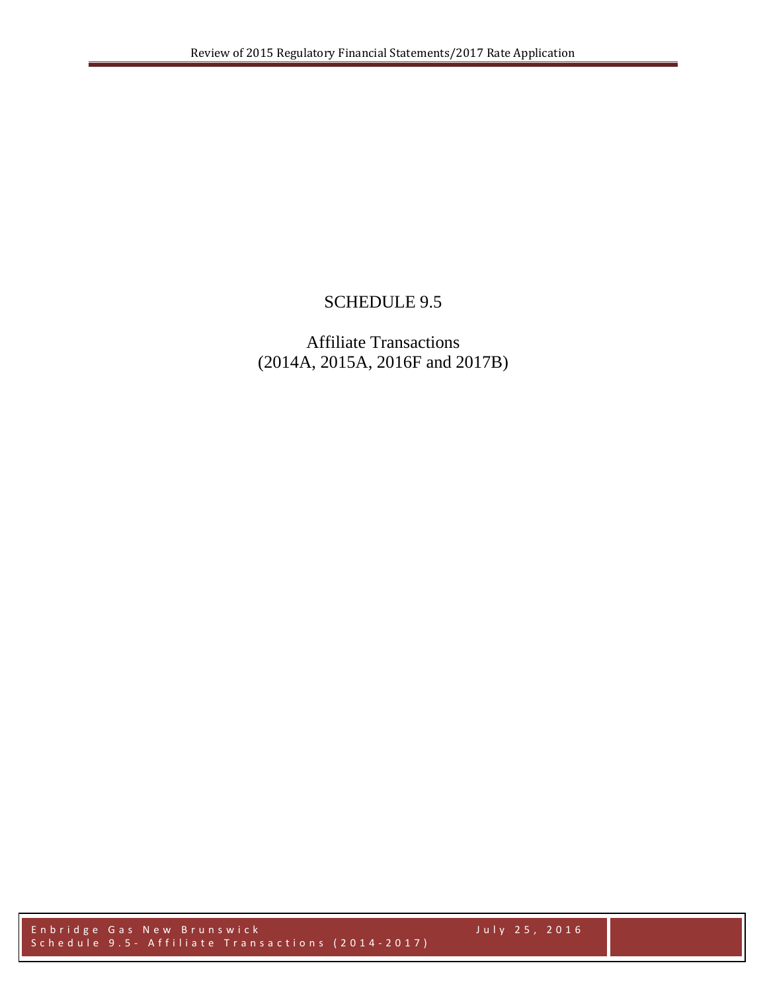## SCHEDULE 9.5

## Affiliate Transactions (2014A, 2015A, 2016F and 2017B)

Enbridge Gas New Brunswick July 2 5 , 2016 Schedule 9.5 - Affiliate Transactions (2014-2017)